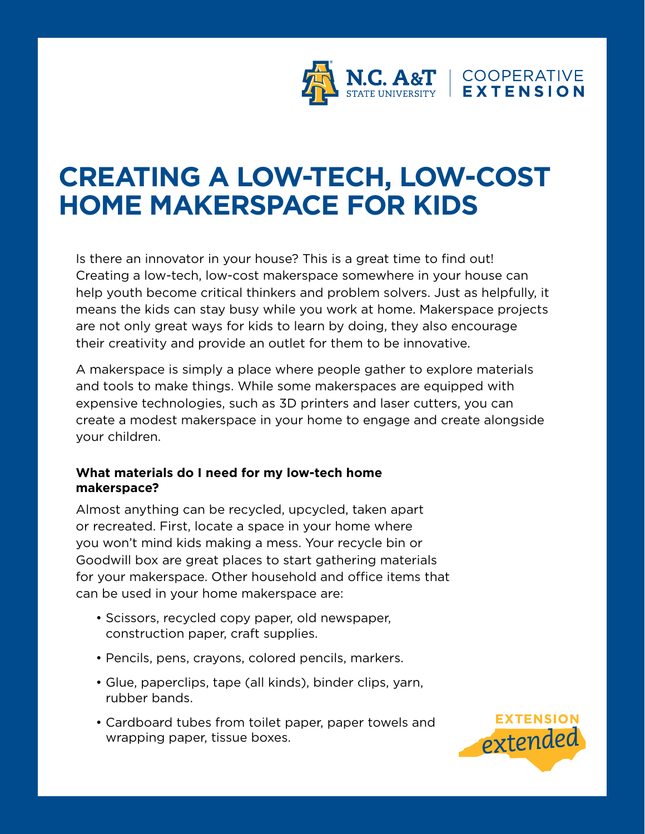

## **CREATING A LOW-TECH, LOW-COST HOME MAKERSPACE FOR KIDS**

Is there an innovator in your house? This is a great time to find out! Creating a low-tech, low-cost makerspace somewhere in your house can help youth become critical thinkers and problem solvers. Just as helpfully, it means the kids can stay busy while you work at home. Makerspace projects are not only great ways for kids to learn by doing, they also encourage their creativity and provide an outlet for them to be innovative.

A makerspace is simply a place where people gather to explore materials and tools to make things. While some makerspaces are equipped with expensive technologies, such as 3D printers and laser cutters, you can create a modest makerspace in your home to engage and create alongside your children.

## **What materials do I need for my low-tech home makerspace?**

Almost anything can be recycled, upcycled, taken apart or recreated. First, locate a space in your home where you won't mind kids making a mess. Your recycle bin or Goodwill box are great places to start gathering materials for your makerspace. Other household and office items that can be used in your home makerspace are:

- Scissors, recycled copy paper, old newspaper, construction paper, craft supplies.
- Pencils, pens, crayons, colored pencils, markers.
- Glue, paperclips, tape (all kinds), binder clips, yarn, rubber bands.
- Cardboard tubes from toilet paper, paper towels and wrapping paper, tissue boxes.

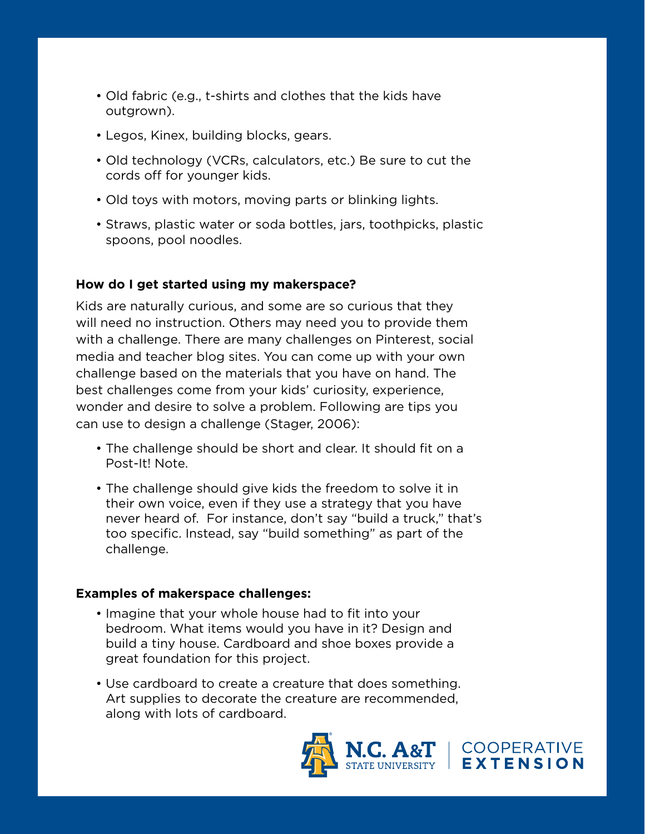- Old fabric (e.g., t-shirts and clothes that the kids have outgrown).
- Legos, Kinex, building blocks, gears.
- Old technology (VCRs, calculators, etc.) Be sure to cut the cords off for younger kids.
- Old toys with motors, moving parts or blinking lights.
- Straws, plastic water or soda bottles, jars, toothpicks, plastic spoons, pool noodles.

## **How do I get started using my makerspace?**

Kids are naturally curious, and some are so curious that they will need no instruction. Others may need you to provide them with a challenge. There are many challenges on Pinterest, social media and teacher blog sites. You can come up with your own challenge based on the materials that you have on hand. The best challenges come from your kids' curiosity, experience, wonder and desire to solve a problem. Following are tips you can use to design a challenge (Stager, 2006):

- The challenge should be short and clear. It should fit on a Post-It! Note.
- The challenge should give kids the freedom to solve it in their own voice, even if they use a strategy that you have never heard of. For instance, don't say "build a truck," that's too specific. Instead, say "build something" as part of the challenge.

## **Examples of makerspace challenges:**

- Imagine that your whole house had to fit into your bedroom. What items would you have in it? Design and build a tiny house. Cardboard and shoe boxes provide a great foundation for this project.
- Use cardboard to create a creature that does something. Art supplies to decorate the creature are recommended, along with lots of cardboard.



COOPERATIVE